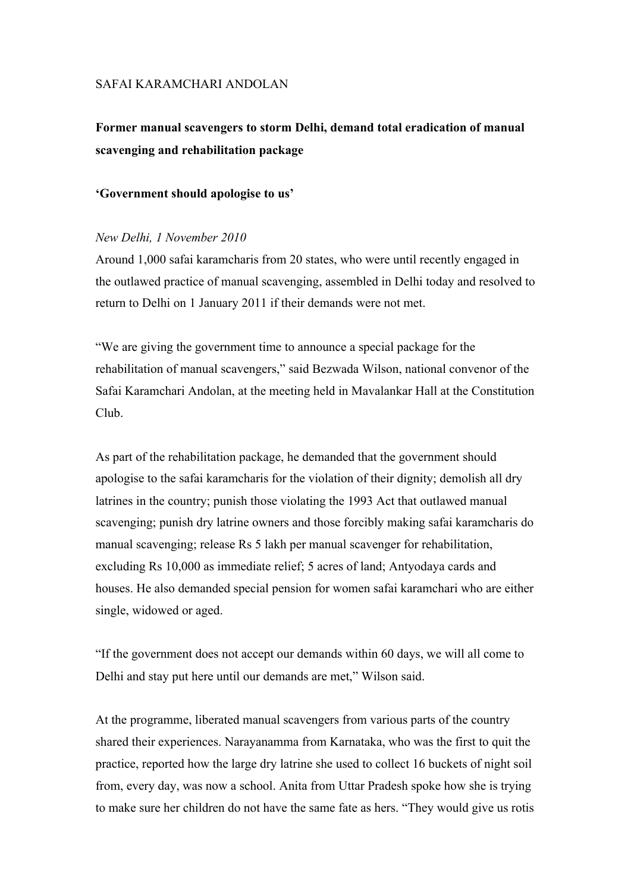## SAFAI KARAMCHARI ANDOLAN

# **Former manual scavengers to storm Delhi, demand total eradication of manual scavenging and rehabilitation package**

#### **'Government should apologise to us'**

# *New Delhi, 1 November 2010*

Around 1,000 safai karamcharis from 20 states, who were until recently engaged in the outlawed practice of manual scavenging, assembled in Delhi today and resolved to return to Delhi on 1 January 2011 if their demands were not met.

"We are giving the government time to announce a special package for the rehabilitation of manual scavengers," said Bezwada Wilson, national convenor of the Safai Karamchari Andolan, at the meeting held in Mavalankar Hall at the Constitution Club.

As part of the rehabilitation package, he demanded that the government should apologise to the safai karamcharis for the violation of their dignity; demolish all dry latrines in the country; punish those violating the 1993 Act that outlawed manual scavenging; punish dry latrine owners and those forcibly making safai karamcharis do manual scavenging; release Rs 5 lakh per manual scavenger for rehabilitation, excluding Rs 10,000 as immediate relief; 5 acres of land; Antyodaya cards and houses. He also demanded special pension for women safai karamchari who are either single, widowed or aged.

"If the government does not accept our demands within 60 days, we will all come to Delhi and stay put here until our demands are met," Wilson said.

At the programme, liberated manual scavengers from various parts of the country shared their experiences. Narayanamma from Karnataka, who was the first to quit the practice, reported how the large dry latrine she used to collect 16 buckets of night soil from, every day, was now a school. Anita from Uttar Pradesh spoke how she is trying to make sure her children do not have the same fate as hers. "They would give us rotis